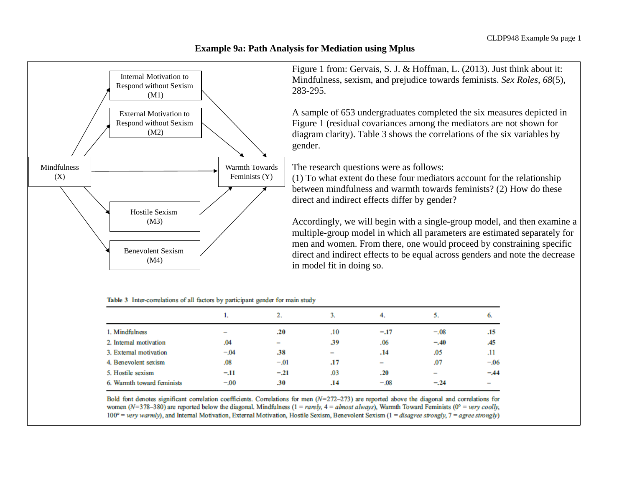## **Example 9a: Path Analysis for Mediation using Mplus**



Figure 1 from: Gervais, S. J. & Hoffman, L. (2013). Just think about it: Mindfulness, sexism, and prejudice towards feminists. *Sex Roles, 68*(5), 283-295.

A sample of 653 undergraduates completed the six measures depicted in Figure 1 (residual covariances among the mediators are not shown for diagram clarity). Table 3 shows the correlations of the six variables by gender.

The research questions were as follows:

(1) To what extent do these four mediators account for the relationship between mindfulness and warmth towards feminists? (2) How do these direct and indirect effects differ by gender?

Accordingly, we will begin with a single-group model, and then examine a multiple-group model in which all parameters are estimated separately for men and women. From there, one would proceed by constraining specific direct and indirect effects to be equal across genders and note the decrease in model fit in doing so.

|                            |                          | 2.                       |                          | 4.                       |                 |                          |
|----------------------------|--------------------------|--------------------------|--------------------------|--------------------------|-----------------|--------------------------|
| 1. Mindfulness             | $\overline{\phantom{a}}$ | .20                      | .10                      | $-.17$                   | $-.08$          | .15                      |
| 2. Internal motivation     | .04                      | $\overline{\phantom{a}}$ | .39                      | .06                      | $-.40$          | .45                      |
| 3. External motivation     | $-.04$                   | .38                      | $\overline{\phantom{a}}$ | .14                      | .05             | .11                      |
| 4. Benevolent sexism       | .08                      | $-.01$                   | .17                      | $\overline{\phantom{0}}$ | .07             | $-.06$                   |
| 5. Hostile sexism          | $-.11$                   | $-.21$                   | .03                      | .20                      | $\qquad \qquad$ | $-.44$                   |
| 6. Warmth toward feminists | $-.00$                   | .30                      | .14                      | $-.08$                   | $-.24$          | $\overline{\phantom{0}}$ |

## Table 3 Inter-correlations of all factors by participant gender for main study

Bold font denotes significant correlation coefficients. Correlations for men  $(N=272-273)$  are reported above the diagonal and correlations for women ( $N=378-380$ ) are reported below the diagonal. Mindfulness ( $1 = rarely$ ,  $4 = almost always$ ), Warmth Toward Feminists ( $0^\circ$  = very coolly,  $100^\circ$  = very warmly), and Internal Motivation, External Motivation, Hostile Sexism, Benevolent Sexism (1 = disagree strongly, 7 = agree strongly)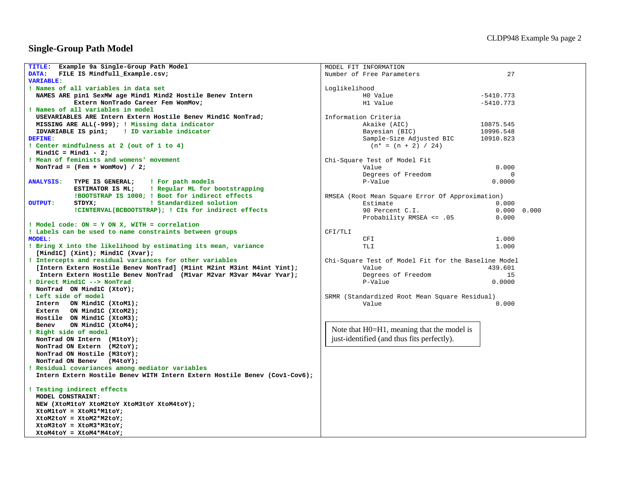## **Single-Group Path Model**

| FILE IS Mindfull Example.csv;<br>27<br>DATA:<br>Number of Free Parameters<br><b>VARIABLE:</b><br>! Names of all variables in data set<br>Loglikelihood<br>NAMES ARE pin1 SexMW age Mind1 Mind2 Hostile Benev Intern<br>H0 Value<br>$-5410.773$<br>Extern NonTrado Career Fem WomMov;<br>H1 Value<br>$-5410.773$<br>! Names of all variables in model<br>USEVARIABLES ARE Intern Extern Hostile Benev Mind1C NonTrad;<br>Information Criteria<br>MISSING ARE ALL(-999); ! Missing data indicator<br>Akaike (AIC)<br>10875.545<br>IDVARIABLE IS pin1; : ID variable indicator<br>Bayesian (BIC)<br>10996.548<br>DEFINE:<br>Sample-Size Adjusted BIC<br>10910.823<br>! Center mindfulness at 2 (out of 1 to 4)<br>$(n* = (n + 2) / 24)$<br>$Mind1C = Mind1 - 2;$<br>! Mean of feminists and womens' movement<br>Chi-Square Test of Model Fit<br>NonTrad = $(Fem + WomMov) / 2;$<br>Value<br>0.000<br>Degrees of Freedom<br>0<br><b>ANALYSIS:</b><br>! For path models<br>0.0000<br>TYPE IS GENERAL;<br>P-Value<br>! Regular ML for bootstrapping<br>ESTIMATOR IS ML;<br>!BOOTSTRAP IS 1000; ! Boot for indirect effects<br>RMSEA (Root Mean Square Error Of Approximation)<br>! Standardized solution<br><b>OUTPUT:</b><br>STDYX;<br>Estimate<br>0.000<br>!CINTERVAL(BCBOOTSTRAP); ! CIs for indirect effects<br>90 Percent C.I.<br>0.000 0.000<br>Probability RMSEA <= .05<br>0.000<br>! Model code: ON = Y ON X, WITH = correlation<br>! Labels can be used to name constraints between groups<br>CFI/TLI<br><b>MODEL:</b><br>CFI<br>1.000<br>! Bring X into the likelihood by estimating its mean, variance<br>TLI<br>1.000<br>[Mind1C] $(Xint);$ Mind1C $(Xvar);$<br>! Intercepts and residual variances for other variables<br>Chi-Square Test of Model Fit for the Baseline Model<br>[Intern Extern Hostile Benev NonTrad] (Mlint M2int M3int M4int Yint);<br>Value<br>439.601<br>Intern Extern Hostile Benev NonTrad (M1var M2var M3var M4var Yvar);<br>Degrees of Freedom<br>15<br>0.0000<br>! Direct Mind1C --> NonTrad<br>P-Value<br>NonTrad ON Mind1C (XtoY);<br>! Left side of model<br>SRMR (Standardized Root Mean Square Residual)<br>Intern ON Mind1C (XtoM1);<br>0.000<br>Value<br>Extern ON Mind1C (XtoM2);<br>Hostile ON Mind1C (XtoM3);<br>ON Mind1C (XtoM4);<br>Benev<br>Note that H0=H1, meaning that the model is<br>Right side of model<br>just-identified (and thus fits perfectly).<br>NonTrad ON Intern (M1toY);<br>NonTrad ON Extern (M2toY);<br>NonTrad ON Hostile (M3toY);<br>NonTrad ON Benev (M4toY);<br>! Residual covariances among mediator variables<br>Intern Extern Hostile Benev WITH Intern Extern Hostile Benev (Cov1-Cov6);<br>! Testing indirect effects<br>MODEL CONSTRAINT:<br>NEW (XtoM1toY XtoM2toY XtoM3toY XtoM4toY);<br>XtoM1toY = XtoM1*M1toY;<br>$X$ toM2toY = $X$ toM2*M2toY;<br>$X$ toM3toY = $X$ toM3*M3toY;<br>$X$ toM4toY = $X$ toM4*M4toY; | TITLE: Example 9a Single-Group Path Model | MODEL FIT INFORMATION |  |
|---------------------------------------------------------------------------------------------------------------------------------------------------------------------------------------------------------------------------------------------------------------------------------------------------------------------------------------------------------------------------------------------------------------------------------------------------------------------------------------------------------------------------------------------------------------------------------------------------------------------------------------------------------------------------------------------------------------------------------------------------------------------------------------------------------------------------------------------------------------------------------------------------------------------------------------------------------------------------------------------------------------------------------------------------------------------------------------------------------------------------------------------------------------------------------------------------------------------------------------------------------------------------------------------------------------------------------------------------------------------------------------------------------------------------------------------------------------------------------------------------------------------------------------------------------------------------------------------------------------------------------------------------------------------------------------------------------------------------------------------------------------------------------------------------------------------------------------------------------------------------------------------------------------------------------------------------------------------------------------------------------------------------------------------------------------------------------------------------------------------------------------------------------------------------------------------------------------------------------------------------------------------------------------------------------------------------------------------------------------------------------------------------------------------------------------------------------------------------------------------------------------------------------------------------------------------------------------------------------------------------------------------------------------------------------------------------------------------------------------------------------------------------------------------------------------------------------------------------------------------------------------------------|-------------------------------------------|-----------------------|--|
|                                                                                                                                                                                                                                                                                                                                                                                                                                                                                                                                                                                                                                                                                                                                                                                                                                                                                                                                                                                                                                                                                                                                                                                                                                                                                                                                                                                                                                                                                                                                                                                                                                                                                                                                                                                                                                                                                                                                                                                                                                                                                                                                                                                                                                                                                                                                                                                                                                                                                                                                                                                                                                                                                                                                                                                                                                                                                                   |                                           |                       |  |
|                                                                                                                                                                                                                                                                                                                                                                                                                                                                                                                                                                                                                                                                                                                                                                                                                                                                                                                                                                                                                                                                                                                                                                                                                                                                                                                                                                                                                                                                                                                                                                                                                                                                                                                                                                                                                                                                                                                                                                                                                                                                                                                                                                                                                                                                                                                                                                                                                                                                                                                                                                                                                                                                                                                                                                                                                                                                                                   |                                           |                       |  |
|                                                                                                                                                                                                                                                                                                                                                                                                                                                                                                                                                                                                                                                                                                                                                                                                                                                                                                                                                                                                                                                                                                                                                                                                                                                                                                                                                                                                                                                                                                                                                                                                                                                                                                                                                                                                                                                                                                                                                                                                                                                                                                                                                                                                                                                                                                                                                                                                                                                                                                                                                                                                                                                                                                                                                                                                                                                                                                   |                                           |                       |  |
|                                                                                                                                                                                                                                                                                                                                                                                                                                                                                                                                                                                                                                                                                                                                                                                                                                                                                                                                                                                                                                                                                                                                                                                                                                                                                                                                                                                                                                                                                                                                                                                                                                                                                                                                                                                                                                                                                                                                                                                                                                                                                                                                                                                                                                                                                                                                                                                                                                                                                                                                                                                                                                                                                                                                                                                                                                                                                                   |                                           |                       |  |
|                                                                                                                                                                                                                                                                                                                                                                                                                                                                                                                                                                                                                                                                                                                                                                                                                                                                                                                                                                                                                                                                                                                                                                                                                                                                                                                                                                                                                                                                                                                                                                                                                                                                                                                                                                                                                                                                                                                                                                                                                                                                                                                                                                                                                                                                                                                                                                                                                                                                                                                                                                                                                                                                                                                                                                                                                                                                                                   |                                           |                       |  |
|                                                                                                                                                                                                                                                                                                                                                                                                                                                                                                                                                                                                                                                                                                                                                                                                                                                                                                                                                                                                                                                                                                                                                                                                                                                                                                                                                                                                                                                                                                                                                                                                                                                                                                                                                                                                                                                                                                                                                                                                                                                                                                                                                                                                                                                                                                                                                                                                                                                                                                                                                                                                                                                                                                                                                                                                                                                                                                   |                                           |                       |  |
|                                                                                                                                                                                                                                                                                                                                                                                                                                                                                                                                                                                                                                                                                                                                                                                                                                                                                                                                                                                                                                                                                                                                                                                                                                                                                                                                                                                                                                                                                                                                                                                                                                                                                                                                                                                                                                                                                                                                                                                                                                                                                                                                                                                                                                                                                                                                                                                                                                                                                                                                                                                                                                                                                                                                                                                                                                                                                                   |                                           |                       |  |
|                                                                                                                                                                                                                                                                                                                                                                                                                                                                                                                                                                                                                                                                                                                                                                                                                                                                                                                                                                                                                                                                                                                                                                                                                                                                                                                                                                                                                                                                                                                                                                                                                                                                                                                                                                                                                                                                                                                                                                                                                                                                                                                                                                                                                                                                                                                                                                                                                                                                                                                                                                                                                                                                                                                                                                                                                                                                                                   |                                           |                       |  |
|                                                                                                                                                                                                                                                                                                                                                                                                                                                                                                                                                                                                                                                                                                                                                                                                                                                                                                                                                                                                                                                                                                                                                                                                                                                                                                                                                                                                                                                                                                                                                                                                                                                                                                                                                                                                                                                                                                                                                                                                                                                                                                                                                                                                                                                                                                                                                                                                                                                                                                                                                                                                                                                                                                                                                                                                                                                                                                   |                                           |                       |  |
|                                                                                                                                                                                                                                                                                                                                                                                                                                                                                                                                                                                                                                                                                                                                                                                                                                                                                                                                                                                                                                                                                                                                                                                                                                                                                                                                                                                                                                                                                                                                                                                                                                                                                                                                                                                                                                                                                                                                                                                                                                                                                                                                                                                                                                                                                                                                                                                                                                                                                                                                                                                                                                                                                                                                                                                                                                                                                                   |                                           |                       |  |
|                                                                                                                                                                                                                                                                                                                                                                                                                                                                                                                                                                                                                                                                                                                                                                                                                                                                                                                                                                                                                                                                                                                                                                                                                                                                                                                                                                                                                                                                                                                                                                                                                                                                                                                                                                                                                                                                                                                                                                                                                                                                                                                                                                                                                                                                                                                                                                                                                                                                                                                                                                                                                                                                                                                                                                                                                                                                                                   |                                           |                       |  |
|                                                                                                                                                                                                                                                                                                                                                                                                                                                                                                                                                                                                                                                                                                                                                                                                                                                                                                                                                                                                                                                                                                                                                                                                                                                                                                                                                                                                                                                                                                                                                                                                                                                                                                                                                                                                                                                                                                                                                                                                                                                                                                                                                                                                                                                                                                                                                                                                                                                                                                                                                                                                                                                                                                                                                                                                                                                                                                   |                                           |                       |  |
|                                                                                                                                                                                                                                                                                                                                                                                                                                                                                                                                                                                                                                                                                                                                                                                                                                                                                                                                                                                                                                                                                                                                                                                                                                                                                                                                                                                                                                                                                                                                                                                                                                                                                                                                                                                                                                                                                                                                                                                                                                                                                                                                                                                                                                                                                                                                                                                                                                                                                                                                                                                                                                                                                                                                                                                                                                                                                                   |                                           |                       |  |
|                                                                                                                                                                                                                                                                                                                                                                                                                                                                                                                                                                                                                                                                                                                                                                                                                                                                                                                                                                                                                                                                                                                                                                                                                                                                                                                                                                                                                                                                                                                                                                                                                                                                                                                                                                                                                                                                                                                                                                                                                                                                                                                                                                                                                                                                                                                                                                                                                                                                                                                                                                                                                                                                                                                                                                                                                                                                                                   |                                           |                       |  |
|                                                                                                                                                                                                                                                                                                                                                                                                                                                                                                                                                                                                                                                                                                                                                                                                                                                                                                                                                                                                                                                                                                                                                                                                                                                                                                                                                                                                                                                                                                                                                                                                                                                                                                                                                                                                                                                                                                                                                                                                                                                                                                                                                                                                                                                                                                                                                                                                                                                                                                                                                                                                                                                                                                                                                                                                                                                                                                   |                                           |                       |  |
|                                                                                                                                                                                                                                                                                                                                                                                                                                                                                                                                                                                                                                                                                                                                                                                                                                                                                                                                                                                                                                                                                                                                                                                                                                                                                                                                                                                                                                                                                                                                                                                                                                                                                                                                                                                                                                                                                                                                                                                                                                                                                                                                                                                                                                                                                                                                                                                                                                                                                                                                                                                                                                                                                                                                                                                                                                                                                                   |                                           |                       |  |
|                                                                                                                                                                                                                                                                                                                                                                                                                                                                                                                                                                                                                                                                                                                                                                                                                                                                                                                                                                                                                                                                                                                                                                                                                                                                                                                                                                                                                                                                                                                                                                                                                                                                                                                                                                                                                                                                                                                                                                                                                                                                                                                                                                                                                                                                                                                                                                                                                                                                                                                                                                                                                                                                                                                                                                                                                                                                                                   |                                           |                       |  |
|                                                                                                                                                                                                                                                                                                                                                                                                                                                                                                                                                                                                                                                                                                                                                                                                                                                                                                                                                                                                                                                                                                                                                                                                                                                                                                                                                                                                                                                                                                                                                                                                                                                                                                                                                                                                                                                                                                                                                                                                                                                                                                                                                                                                                                                                                                                                                                                                                                                                                                                                                                                                                                                                                                                                                                                                                                                                                                   |                                           |                       |  |
|                                                                                                                                                                                                                                                                                                                                                                                                                                                                                                                                                                                                                                                                                                                                                                                                                                                                                                                                                                                                                                                                                                                                                                                                                                                                                                                                                                                                                                                                                                                                                                                                                                                                                                                                                                                                                                                                                                                                                                                                                                                                                                                                                                                                                                                                                                                                                                                                                                                                                                                                                                                                                                                                                                                                                                                                                                                                                                   |                                           |                       |  |
|                                                                                                                                                                                                                                                                                                                                                                                                                                                                                                                                                                                                                                                                                                                                                                                                                                                                                                                                                                                                                                                                                                                                                                                                                                                                                                                                                                                                                                                                                                                                                                                                                                                                                                                                                                                                                                                                                                                                                                                                                                                                                                                                                                                                                                                                                                                                                                                                                                                                                                                                                                                                                                                                                                                                                                                                                                                                                                   |                                           |                       |  |
|                                                                                                                                                                                                                                                                                                                                                                                                                                                                                                                                                                                                                                                                                                                                                                                                                                                                                                                                                                                                                                                                                                                                                                                                                                                                                                                                                                                                                                                                                                                                                                                                                                                                                                                                                                                                                                                                                                                                                                                                                                                                                                                                                                                                                                                                                                                                                                                                                                                                                                                                                                                                                                                                                                                                                                                                                                                                                                   |                                           |                       |  |
|                                                                                                                                                                                                                                                                                                                                                                                                                                                                                                                                                                                                                                                                                                                                                                                                                                                                                                                                                                                                                                                                                                                                                                                                                                                                                                                                                                                                                                                                                                                                                                                                                                                                                                                                                                                                                                                                                                                                                                                                                                                                                                                                                                                                                                                                                                                                                                                                                                                                                                                                                                                                                                                                                                                                                                                                                                                                                                   |                                           |                       |  |
|                                                                                                                                                                                                                                                                                                                                                                                                                                                                                                                                                                                                                                                                                                                                                                                                                                                                                                                                                                                                                                                                                                                                                                                                                                                                                                                                                                                                                                                                                                                                                                                                                                                                                                                                                                                                                                                                                                                                                                                                                                                                                                                                                                                                                                                                                                                                                                                                                                                                                                                                                                                                                                                                                                                                                                                                                                                                                                   |                                           |                       |  |
|                                                                                                                                                                                                                                                                                                                                                                                                                                                                                                                                                                                                                                                                                                                                                                                                                                                                                                                                                                                                                                                                                                                                                                                                                                                                                                                                                                                                                                                                                                                                                                                                                                                                                                                                                                                                                                                                                                                                                                                                                                                                                                                                                                                                                                                                                                                                                                                                                                                                                                                                                                                                                                                                                                                                                                                                                                                                                                   |                                           |                       |  |
|                                                                                                                                                                                                                                                                                                                                                                                                                                                                                                                                                                                                                                                                                                                                                                                                                                                                                                                                                                                                                                                                                                                                                                                                                                                                                                                                                                                                                                                                                                                                                                                                                                                                                                                                                                                                                                                                                                                                                                                                                                                                                                                                                                                                                                                                                                                                                                                                                                                                                                                                                                                                                                                                                                                                                                                                                                                                                                   |                                           |                       |  |
|                                                                                                                                                                                                                                                                                                                                                                                                                                                                                                                                                                                                                                                                                                                                                                                                                                                                                                                                                                                                                                                                                                                                                                                                                                                                                                                                                                                                                                                                                                                                                                                                                                                                                                                                                                                                                                                                                                                                                                                                                                                                                                                                                                                                                                                                                                                                                                                                                                                                                                                                                                                                                                                                                                                                                                                                                                                                                                   |                                           |                       |  |
|                                                                                                                                                                                                                                                                                                                                                                                                                                                                                                                                                                                                                                                                                                                                                                                                                                                                                                                                                                                                                                                                                                                                                                                                                                                                                                                                                                                                                                                                                                                                                                                                                                                                                                                                                                                                                                                                                                                                                                                                                                                                                                                                                                                                                                                                                                                                                                                                                                                                                                                                                                                                                                                                                                                                                                                                                                                                                                   |                                           |                       |  |
|                                                                                                                                                                                                                                                                                                                                                                                                                                                                                                                                                                                                                                                                                                                                                                                                                                                                                                                                                                                                                                                                                                                                                                                                                                                                                                                                                                                                                                                                                                                                                                                                                                                                                                                                                                                                                                                                                                                                                                                                                                                                                                                                                                                                                                                                                                                                                                                                                                                                                                                                                                                                                                                                                                                                                                                                                                                                                                   |                                           |                       |  |
|                                                                                                                                                                                                                                                                                                                                                                                                                                                                                                                                                                                                                                                                                                                                                                                                                                                                                                                                                                                                                                                                                                                                                                                                                                                                                                                                                                                                                                                                                                                                                                                                                                                                                                                                                                                                                                                                                                                                                                                                                                                                                                                                                                                                                                                                                                                                                                                                                                                                                                                                                                                                                                                                                                                                                                                                                                                                                                   |                                           |                       |  |
|                                                                                                                                                                                                                                                                                                                                                                                                                                                                                                                                                                                                                                                                                                                                                                                                                                                                                                                                                                                                                                                                                                                                                                                                                                                                                                                                                                                                                                                                                                                                                                                                                                                                                                                                                                                                                                                                                                                                                                                                                                                                                                                                                                                                                                                                                                                                                                                                                                                                                                                                                                                                                                                                                                                                                                                                                                                                                                   |                                           |                       |  |
|                                                                                                                                                                                                                                                                                                                                                                                                                                                                                                                                                                                                                                                                                                                                                                                                                                                                                                                                                                                                                                                                                                                                                                                                                                                                                                                                                                                                                                                                                                                                                                                                                                                                                                                                                                                                                                                                                                                                                                                                                                                                                                                                                                                                                                                                                                                                                                                                                                                                                                                                                                                                                                                                                                                                                                                                                                                                                                   |                                           |                       |  |
|                                                                                                                                                                                                                                                                                                                                                                                                                                                                                                                                                                                                                                                                                                                                                                                                                                                                                                                                                                                                                                                                                                                                                                                                                                                                                                                                                                                                                                                                                                                                                                                                                                                                                                                                                                                                                                                                                                                                                                                                                                                                                                                                                                                                                                                                                                                                                                                                                                                                                                                                                                                                                                                                                                                                                                                                                                                                                                   |                                           |                       |  |
|                                                                                                                                                                                                                                                                                                                                                                                                                                                                                                                                                                                                                                                                                                                                                                                                                                                                                                                                                                                                                                                                                                                                                                                                                                                                                                                                                                                                                                                                                                                                                                                                                                                                                                                                                                                                                                                                                                                                                                                                                                                                                                                                                                                                                                                                                                                                                                                                                                                                                                                                                                                                                                                                                                                                                                                                                                                                                                   |                                           |                       |  |
|                                                                                                                                                                                                                                                                                                                                                                                                                                                                                                                                                                                                                                                                                                                                                                                                                                                                                                                                                                                                                                                                                                                                                                                                                                                                                                                                                                                                                                                                                                                                                                                                                                                                                                                                                                                                                                                                                                                                                                                                                                                                                                                                                                                                                                                                                                                                                                                                                                                                                                                                                                                                                                                                                                                                                                                                                                                                                                   |                                           |                       |  |
|                                                                                                                                                                                                                                                                                                                                                                                                                                                                                                                                                                                                                                                                                                                                                                                                                                                                                                                                                                                                                                                                                                                                                                                                                                                                                                                                                                                                                                                                                                                                                                                                                                                                                                                                                                                                                                                                                                                                                                                                                                                                                                                                                                                                                                                                                                                                                                                                                                                                                                                                                                                                                                                                                                                                                                                                                                                                                                   |                                           |                       |  |
|                                                                                                                                                                                                                                                                                                                                                                                                                                                                                                                                                                                                                                                                                                                                                                                                                                                                                                                                                                                                                                                                                                                                                                                                                                                                                                                                                                                                                                                                                                                                                                                                                                                                                                                                                                                                                                                                                                                                                                                                                                                                                                                                                                                                                                                                                                                                                                                                                                                                                                                                                                                                                                                                                                                                                                                                                                                                                                   |                                           |                       |  |
|                                                                                                                                                                                                                                                                                                                                                                                                                                                                                                                                                                                                                                                                                                                                                                                                                                                                                                                                                                                                                                                                                                                                                                                                                                                                                                                                                                                                                                                                                                                                                                                                                                                                                                                                                                                                                                                                                                                                                                                                                                                                                                                                                                                                                                                                                                                                                                                                                                                                                                                                                                                                                                                                                                                                                                                                                                                                                                   |                                           |                       |  |
|                                                                                                                                                                                                                                                                                                                                                                                                                                                                                                                                                                                                                                                                                                                                                                                                                                                                                                                                                                                                                                                                                                                                                                                                                                                                                                                                                                                                                                                                                                                                                                                                                                                                                                                                                                                                                                                                                                                                                                                                                                                                                                                                                                                                                                                                                                                                                                                                                                                                                                                                                                                                                                                                                                                                                                                                                                                                                                   |                                           |                       |  |
|                                                                                                                                                                                                                                                                                                                                                                                                                                                                                                                                                                                                                                                                                                                                                                                                                                                                                                                                                                                                                                                                                                                                                                                                                                                                                                                                                                                                                                                                                                                                                                                                                                                                                                                                                                                                                                                                                                                                                                                                                                                                                                                                                                                                                                                                                                                                                                                                                                                                                                                                                                                                                                                                                                                                                                                                                                                                                                   |                                           |                       |  |
|                                                                                                                                                                                                                                                                                                                                                                                                                                                                                                                                                                                                                                                                                                                                                                                                                                                                                                                                                                                                                                                                                                                                                                                                                                                                                                                                                                                                                                                                                                                                                                                                                                                                                                                                                                                                                                                                                                                                                                                                                                                                                                                                                                                                                                                                                                                                                                                                                                                                                                                                                                                                                                                                                                                                                                                                                                                                                                   |                                           |                       |  |
|                                                                                                                                                                                                                                                                                                                                                                                                                                                                                                                                                                                                                                                                                                                                                                                                                                                                                                                                                                                                                                                                                                                                                                                                                                                                                                                                                                                                                                                                                                                                                                                                                                                                                                                                                                                                                                                                                                                                                                                                                                                                                                                                                                                                                                                                                                                                                                                                                                                                                                                                                                                                                                                                                                                                                                                                                                                                                                   |                                           |                       |  |
|                                                                                                                                                                                                                                                                                                                                                                                                                                                                                                                                                                                                                                                                                                                                                                                                                                                                                                                                                                                                                                                                                                                                                                                                                                                                                                                                                                                                                                                                                                                                                                                                                                                                                                                                                                                                                                                                                                                                                                                                                                                                                                                                                                                                                                                                                                                                                                                                                                                                                                                                                                                                                                                                                                                                                                                                                                                                                                   |                                           |                       |  |
|                                                                                                                                                                                                                                                                                                                                                                                                                                                                                                                                                                                                                                                                                                                                                                                                                                                                                                                                                                                                                                                                                                                                                                                                                                                                                                                                                                                                                                                                                                                                                                                                                                                                                                                                                                                                                                                                                                                                                                                                                                                                                                                                                                                                                                                                                                                                                                                                                                                                                                                                                                                                                                                                                                                                                                                                                                                                                                   |                                           |                       |  |
|                                                                                                                                                                                                                                                                                                                                                                                                                                                                                                                                                                                                                                                                                                                                                                                                                                                                                                                                                                                                                                                                                                                                                                                                                                                                                                                                                                                                                                                                                                                                                                                                                                                                                                                                                                                                                                                                                                                                                                                                                                                                                                                                                                                                                                                                                                                                                                                                                                                                                                                                                                                                                                                                                                                                                                                                                                                                                                   |                                           |                       |  |
|                                                                                                                                                                                                                                                                                                                                                                                                                                                                                                                                                                                                                                                                                                                                                                                                                                                                                                                                                                                                                                                                                                                                                                                                                                                                                                                                                                                                                                                                                                                                                                                                                                                                                                                                                                                                                                                                                                                                                                                                                                                                                                                                                                                                                                                                                                                                                                                                                                                                                                                                                                                                                                                                                                                                                                                                                                                                                                   |                                           |                       |  |
|                                                                                                                                                                                                                                                                                                                                                                                                                                                                                                                                                                                                                                                                                                                                                                                                                                                                                                                                                                                                                                                                                                                                                                                                                                                                                                                                                                                                                                                                                                                                                                                                                                                                                                                                                                                                                                                                                                                                                                                                                                                                                                                                                                                                                                                                                                                                                                                                                                                                                                                                                                                                                                                                                                                                                                                                                                                                                                   |                                           |                       |  |
|                                                                                                                                                                                                                                                                                                                                                                                                                                                                                                                                                                                                                                                                                                                                                                                                                                                                                                                                                                                                                                                                                                                                                                                                                                                                                                                                                                                                                                                                                                                                                                                                                                                                                                                                                                                                                                                                                                                                                                                                                                                                                                                                                                                                                                                                                                                                                                                                                                                                                                                                                                                                                                                                                                                                                                                                                                                                                                   |                                           |                       |  |
|                                                                                                                                                                                                                                                                                                                                                                                                                                                                                                                                                                                                                                                                                                                                                                                                                                                                                                                                                                                                                                                                                                                                                                                                                                                                                                                                                                                                                                                                                                                                                                                                                                                                                                                                                                                                                                                                                                                                                                                                                                                                                                                                                                                                                                                                                                                                                                                                                                                                                                                                                                                                                                                                                                                                                                                                                                                                                                   |                                           |                       |  |
|                                                                                                                                                                                                                                                                                                                                                                                                                                                                                                                                                                                                                                                                                                                                                                                                                                                                                                                                                                                                                                                                                                                                                                                                                                                                                                                                                                                                                                                                                                                                                                                                                                                                                                                                                                                                                                                                                                                                                                                                                                                                                                                                                                                                                                                                                                                                                                                                                                                                                                                                                                                                                                                                                                                                                                                                                                                                                                   |                                           |                       |  |
|                                                                                                                                                                                                                                                                                                                                                                                                                                                                                                                                                                                                                                                                                                                                                                                                                                                                                                                                                                                                                                                                                                                                                                                                                                                                                                                                                                                                                                                                                                                                                                                                                                                                                                                                                                                                                                                                                                                                                                                                                                                                                                                                                                                                                                                                                                                                                                                                                                                                                                                                                                                                                                                                                                                                                                                                                                                                                                   |                                           |                       |  |
|                                                                                                                                                                                                                                                                                                                                                                                                                                                                                                                                                                                                                                                                                                                                                                                                                                                                                                                                                                                                                                                                                                                                                                                                                                                                                                                                                                                                                                                                                                                                                                                                                                                                                                                                                                                                                                                                                                                                                                                                                                                                                                                                                                                                                                                                                                                                                                                                                                                                                                                                                                                                                                                                                                                                                                                                                                                                                                   |                                           |                       |  |
|                                                                                                                                                                                                                                                                                                                                                                                                                                                                                                                                                                                                                                                                                                                                                                                                                                                                                                                                                                                                                                                                                                                                                                                                                                                                                                                                                                                                                                                                                                                                                                                                                                                                                                                                                                                                                                                                                                                                                                                                                                                                                                                                                                                                                                                                                                                                                                                                                                                                                                                                                                                                                                                                                                                                                                                                                                                                                                   |                                           |                       |  |
|                                                                                                                                                                                                                                                                                                                                                                                                                                                                                                                                                                                                                                                                                                                                                                                                                                                                                                                                                                                                                                                                                                                                                                                                                                                                                                                                                                                                                                                                                                                                                                                                                                                                                                                                                                                                                                                                                                                                                                                                                                                                                                                                                                                                                                                                                                                                                                                                                                                                                                                                                                                                                                                                                                                                                                                                                                                                                                   |                                           |                       |  |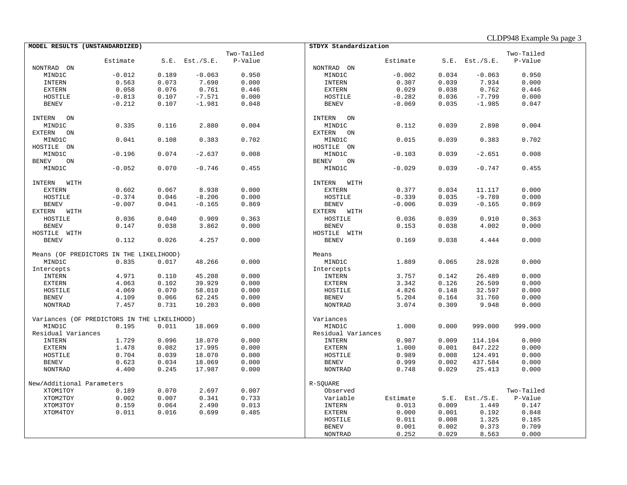|  | CLDP948 Example 9a page 3 |
|--|---------------------------|
|--|---------------------------|

|                           | MODEL RESULTS (UNSTANDARDIZED)              |       |                     |            | STDYX Standardization |          |       |                     |            |
|---------------------------|---------------------------------------------|-------|---------------------|------------|-----------------------|----------|-------|---------------------|------------|
|                           |                                             |       |                     | Two-Tailed |                       |          |       |                     | Two-Tailed |
|                           | Estimate                                    |       | $S.E.$ Est./ $S.E.$ | P-Value    |                       | Estimate |       | $S.E.$ Est./ $S.E.$ | P-Value    |
| NONTRAD ON                |                                             |       |                     |            | NONTRAD ON            |          |       |                     |            |
| MIND1C                    | $-0.012$                                    | 0.189 | $-0.063$            | 0.950      | MIND1C                | $-0.002$ | 0.034 | $-0.063$            | 0.950      |
| <b>INTERN</b>             | 0.563                                       | 0.073 | 7.690               | 0.000      | <b>INTERN</b>         | 0.307    | 0.039 | 7.934               | 0.000      |
| <b>EXTERN</b>             | 0.058                                       | 0.076 | 0.761               | 0.446      | EXTERN                | 0.029    | 0.038 | 0.762               | 0.446      |
| HOSTILE                   | $-0.813$                                    | 0.107 | $-7.571$            | 0.000      | HOSTILE               | $-0.282$ | 0.036 | $-7.799$            | 0.000      |
| <b>BENEV</b>              | $-0.212$                                    | 0.107 | $-1.981$            | 0.048      | <b>BENEV</b>          | $-0.069$ | 0.035 | $-1.985$            | 0.047      |
|                           |                                             |       |                     |            |                       |          |       |                     |            |
| ON<br>INTERN              |                                             |       |                     |            | INTERN<br>ON          |          |       |                     |            |
| MIND1C                    | 0.335                                       | 0.116 | 2.880               | 0.004      | MIND1C                | 0.112    | 0.039 | 2.898               | 0.004      |
| EXTERN ON                 |                                             |       |                     |            | EXTERN<br>ON          |          |       |                     |            |
| MIND1C                    | 0.041                                       | 0.108 | 0.383               | 0.702      | MIND1C                | 0.015    | 0.039 | 0.383               | 0.702      |
| HOSTILE ON                |                                             |       |                     |            | HOSTILE ON            |          |       |                     |            |
| MIND1C                    | $-0.196$                                    | 0.074 | $-2.637$            | 0.008      | MIND1C                | $-0.103$ | 0.039 | $-2.651$            | 0.008      |
| <b>BENEV</b><br>ON        |                                             |       |                     |            | BENEV<br>ON           |          |       |                     |            |
| MIND1C                    | $-0.052$                                    | 0.070 | $-0.746$            | 0.455      | MIND1C                | $-0.029$ | 0.039 | $-0.747$            | 0.455      |
|                           |                                             |       |                     |            |                       |          |       |                     |            |
|                           |                                             |       |                     |            | INTERN<br>WITH        |          |       |                     |            |
| INTERN WITH               |                                             |       |                     |            |                       |          |       |                     |            |
| <b>EXTERN</b>             | 0.602                                       | 0.067 | 8.938               | 0.000      | <b>EXTERN</b>         | 0.377    | 0.034 | 11.117              | 0.000      |
| HOSTILE                   | $-0.374$                                    | 0.046 | $-8.206$            | 0.000      | HOSTILE               | $-0.339$ | 0.035 | $-9.789$            | 0.000      |
| <b>BENEV</b>              | $-0.007$                                    | 0.041 | $-0.165$            | 0.869      | <b>BENEV</b>          | $-0.006$ | 0.039 | $-0.165$            | 0.869      |
| EXTERN WITH               |                                             |       |                     |            | EXTERN WITH           |          |       |                     |            |
| HOSTILE                   | 0.036                                       | 0.040 | 0.909               | 0.363      | HOSTILE               | 0.036    | 0.039 | 0.910               | 0.363      |
| <b>BENEV</b>              | 0.147                                       | 0.038 | 3.862               | 0.000      | <b>BENEV</b>          | 0.153    | 0.038 | 4.002               | 0.000      |
| HOSTILE WITH              |                                             |       |                     |            | HOSTILE WITH          |          |       |                     |            |
| <b>BENEV</b>              | 0.112                                       | 0.026 | 4.257               | 0.000      | <b>BENEV</b>          | 0.169    | 0.038 | 4.444               | 0.000      |
|                           |                                             |       |                     |            |                       |          |       |                     |            |
|                           | Means (OF PREDICTORS IN THE LIKELIHOOD)     |       |                     |            | Means                 |          |       |                     |            |
| MIND1C                    | 0.835                                       | 0.017 | 48.266              | 0.000      | MIND1C                | 1.889    | 0.065 | 28.928              | 0.000      |
| Intercepts                |                                             |       |                     |            | Intercepts            |          |       |                     |            |
| <b>INTERN</b>             | 4.971                                       | 0.110 | 45.208              | 0.000      | INTERN                | 3.757    | 0.142 | 26.489              | 0.000      |
| <b>EXTERN</b>             | 4.063                                       | 0.102 | 39.929              | 0.000      | <b>EXTERN</b>         | 3.342    | 0.126 | 26.509              | 0.000      |
| HOSTILE                   | 4.069                                       | 0.070 | 58.010              | 0.000      | HOSTILE               | 4.826    | 0.148 | 32.597              | 0.000      |
| <b>BENEV</b>              | 4.109                                       | 0.066 | 62.245              | 0.000      | <b>BENEV</b>          | 5.204    | 0.164 | 31.760              | 0.000      |
| NONTRAD                   | 7.457                                       | 0.731 | 10.203              | 0.000      | NONTRAD               | 3.074    | 0.309 | 9.948               | 0.000      |
|                           |                                             |       |                     |            |                       |          |       |                     |            |
|                           | Variances (OF PREDICTORS IN THE LIKELIHOOD) |       |                     |            | Variances             |          |       |                     |            |
| MIND1C                    | 0.195                                       | 0.011 | 18.069              | 0.000      | MIND1C                | 1.000    | 0.000 | 999.000             | 999.000    |
| Residual Variances        |                                             |       |                     |            | Residual Variances    |          |       |                     |            |
| <b>INTERN</b>             | 1.729                                       | 0.096 | 18.070              | 0.000      | <b>INTERN</b>         | 0.987    | 0.009 | 114.104             | 0.000      |
| <b>EXTERN</b>             | 1.478                                       | 0.082 | 17.995              | 0.000      | <b>EXTERN</b>         | 1.000    | 0.001 | 847.222             | 0.000      |
| HOSTILE                   | 0.704                                       | 0.039 | 18.070              | 0.000      | HOSTILE               | 0.989    | 0.008 | 124.491             | 0.000      |
| <b>BENEV</b>              | 0.623                                       | 0.034 | 18.069              | 0.000      | <b>BENEV</b>          | 0.999    | 0.002 | 437.584             | 0.000      |
| <b>NONTRAD</b>            | 4.400                                       | 0.245 | 17.987              | 0.000      | <b>NONTRAD</b>        | 0.748    | 0.029 | 25.413              | 0.000      |
|                           |                                             |       |                     |            |                       |          |       |                     |            |
| New/Additional Parameters |                                             |       |                     |            | R-SOUARE              |          |       |                     |            |
| XTOM1TOY                  | 0.189                                       | 0.070 | 2.697               | 0.007      | Observed              |          |       |                     | Two-Tailed |
| XTOM2TOY                  | 0.002                                       | 0.007 | 0.341               | 0.733      | Variable              | Estimate | S.E.  | Est./S.E.           | P-Value    |
| XTOM3TOY                  | 0.159                                       | 0.064 | 2.490               | 0.013      | <b>INTERN</b>         | 0.013    | 0.009 | 1.449               | 0.147      |
| XTOM4TOY                  | 0.011                                       | 0.016 | 0.699               | 0.485      | <b>EXTERN</b>         | 0.000    | 0.001 | 0.192               | 0.848      |
|                           |                                             |       |                     |            | HOSTILE               | 0.011    | 0.008 | 1.325               | 0.185      |
|                           |                                             |       |                     |            | <b>BENEV</b>          | 0.001    | 0.002 | 0.373               | 0.709      |
|                           |                                             |       |                     |            | <b>NONTRAD</b>        | 0.252    | 0.029 | 8.563               | 0.000      |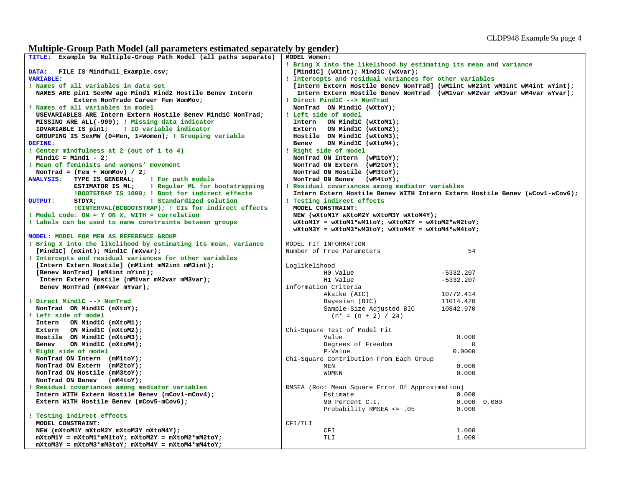## **Multiple-Group Path Model (all parameters estimated separately by gender)**

| TITLE: Example 9a Multiple-Group Path Model (all paths separate)      | MODEL Women:                                                                |  |  |  |  |  |
|-----------------------------------------------------------------------|-----------------------------------------------------------------------------|--|--|--|--|--|
|                                                                       | ! Bring X into the likelihood by estimating its mean and variance           |  |  |  |  |  |
| DATA: FILE IS Mindfull_Example.csv;                                   | [Mind1C] (wXint); Mind1C (wXvar);                                           |  |  |  |  |  |
| <b>VARIABLE:</b>                                                      | ! Intercepts and residual variances for other variables                     |  |  |  |  |  |
| ! Names of all variables in data set                                  | [Intern Extern Hostile Benev NonTrad] (wM1int wM2int wM3int wM4int wYint);  |  |  |  |  |  |
| NAMES ARE pin1 SexMW age Mind1 Mind2 Hostile Benev Intern             | Intern Extern Hostile Benev NonTrad (wM1var wM2var wM3var wM4var wYvar);    |  |  |  |  |  |
| Extern NonTrado Career Fem WomMov;                                    | ! Direct Mind1C --> NonTrad                                                 |  |  |  |  |  |
| ! Names of all variables in model                                     | NonTrad ON Mind1C (wXtoY);                                                  |  |  |  |  |  |
| USEVARIABLES ARE Intern Extern Hostile Benev MindlC NonTrad;          | ! Left side of model                                                        |  |  |  |  |  |
|                                                                       |                                                                             |  |  |  |  |  |
| MISSING ARE ALL(-999); ! Missing data indicator                       | Intern ON Mind1C (wXtoM1);                                                  |  |  |  |  |  |
| IDVARIABLE IS pin1; : ID variable indicator                           | Extern ON Mind1C (wXtoM2);                                                  |  |  |  |  |  |
| GROUPING IS SexMW (0=Men, 1=Women); ! Grouping variable               | Hostile ON Mind1C (wXtoM3);                                                 |  |  |  |  |  |
| DEFINE:                                                               | Benev<br>ON MindlC (wXtoM4);                                                |  |  |  |  |  |
| ! Center mindfulness at 2 (out of 1 to 4)                             | ! Right side of model                                                       |  |  |  |  |  |
| Mind $1C = Mind1 - 2;$                                                | NonTrad ON Intern (wM1toY);                                                 |  |  |  |  |  |
| ! Mean of feminists and womens' movement                              | NonTrad ON Extern (wM2toY);                                                 |  |  |  |  |  |
| NonTrad = $(Fem + WomMov) / 2;$                                       | NonTrad ON Hostile (wM3toY);                                                |  |  |  |  |  |
| <b>ANALYSIS:</b><br>TYPE IS GENERAL;<br>! For path models             | NonTrad ON Benev (wM4toY);                                                  |  |  |  |  |  |
| ! Regular ML for bootstrapping<br>ESTIMATOR IS ML;                    | ! Residual covariances among mediator variables                             |  |  |  |  |  |
| !BOOTSTRAP IS 1000; ! Boot for indirect effects                       | Intern Extern Hostile Benev WITH Intern Extern Hostile Benev (wCov1-wCov6); |  |  |  |  |  |
| ! Standardized solution<br><b>OUTPUT:</b><br>STDYX;                   | ! Testing indirect effects                                                  |  |  |  |  |  |
| !CINTERVAL(BCBOOTSTRAP); ! CIs for indirect effects                   | MODEL CONSTRAINT:                                                           |  |  |  |  |  |
| ! Model code: ON = Y ON X, WITH = correlation                         | NEW (wXtoM1Y wXtoM2Y wXtoM3Y wXtoM4Y);                                      |  |  |  |  |  |
| ! Labels can be used to name constraints between groups               | $wX$ toM1Y = $wX$ toM1* $wM1$ toY; $wX$ toM2Y = $wX$ toM2* $wM2$ toY;       |  |  |  |  |  |
|                                                                       | $wX$ toM3Y = $wX$ toM3* $wM3$ toY; $wX$ toM4Y = $wX$ toM4* $wM4$ toY;       |  |  |  |  |  |
| MODEL: MODEL FOR MEN AS REFERENCE GROUP                               |                                                                             |  |  |  |  |  |
| ! Bring X into the likelihood by estimating its mean, variance        | MODEL FIT INFORMATION                                                       |  |  |  |  |  |
| [MindlC] $(mXint);$ MindlC $(mXvar);$                                 | Number of Free Parameters<br>54                                             |  |  |  |  |  |
| ! Intercepts and residual variances for other variables               |                                                                             |  |  |  |  |  |
| [Intern Extern Hostile] (mMlint mM2int mM3int);                       |                                                                             |  |  |  |  |  |
|                                                                       | Loglikelihood                                                               |  |  |  |  |  |
| [Benev NonTrad] (mM4int mYint);                                       | HO Value<br>$-5332.207$                                                     |  |  |  |  |  |
| Intern Extern Hostile (mM1var mM2var mM3var);                         | H1 Value<br>$-5332.207$                                                     |  |  |  |  |  |
| Benev NonTrad (mM4var mYvar);                                         | Information Criteria                                                        |  |  |  |  |  |
|                                                                       | Akaike (AIC)<br>10772.414                                                   |  |  |  |  |  |
| ! Direct Mind1C --> NonTrad                                           | Bayesian (BIC)<br>11014.420                                                 |  |  |  |  |  |
| NonTrad ON Mind1C (mXtoY);                                            | Sample-Size Adjusted BIC<br>10842.970                                       |  |  |  |  |  |
| ! Left side of model                                                  | $(n* = (n + 2) / 24)$                                                       |  |  |  |  |  |
| Intern ON Mind1C (mXtoM1);                                            |                                                                             |  |  |  |  |  |
| Extern ON Mind1C (mXtoM2);                                            | Chi-Square Test of Model Fit                                                |  |  |  |  |  |
| Hostile ON Mind1C (mXtoM3);                                           | 0.000<br>Value                                                              |  |  |  |  |  |
| Benev<br>ON Mind1C (mXtoM4);                                          | Degrees of Freedom<br>$\Omega$                                              |  |  |  |  |  |
| ! Right side of model                                                 | P-Value<br>0.0000                                                           |  |  |  |  |  |
| NonTrad ON Intern (mM1toY);                                           | Chi-Square Contribution From Each Group                                     |  |  |  |  |  |
| NonTrad ON Extern (mM2toY);                                           | MEN<br>0.000                                                                |  |  |  |  |  |
| NonTrad ON Hostile (mM3toY);                                          | <b>WOMEN</b><br>0.000                                                       |  |  |  |  |  |
| NonTrad ON Benev (mM4toY);                                            |                                                                             |  |  |  |  |  |
| ! Residual covariances among mediator variables                       | RMSEA (Root Mean Square Error Of Approximation)                             |  |  |  |  |  |
| Intern WITH Extern Hostile Benev (mCov1-mCov4);                       | Estimate<br>0.000                                                           |  |  |  |  |  |
| Extern WiTH Hostile Benev (mCov5-mCov6);                              | 90 Percent C.I.<br>0.000 0.000                                              |  |  |  |  |  |
|                                                                       | Probability RMSEA <= .05<br>0.000                                           |  |  |  |  |  |
| ! Testing indirect effects                                            |                                                                             |  |  |  |  |  |
| MODEL CONSTRAINT:                                                     | CFI/TLI                                                                     |  |  |  |  |  |
| NEW (mXtoM1Y mXtoM2Y mXtoM3Y mXtoM4Y);                                | CFI<br>1.000                                                                |  |  |  |  |  |
| $mX$ toM1Y = $mX$ toM1* $mM$ 1toY; $mX$ toM2Y = $mX$ toM2* $mM2$ toY; | 1.000<br>TLI                                                                |  |  |  |  |  |
| $mX$ toM3Y = $mX$ toM3* $mM3$ toY; $mX$ toM4Y = $mX$ toM4* $mM4$ toY; |                                                                             |  |  |  |  |  |
|                                                                       |                                                                             |  |  |  |  |  |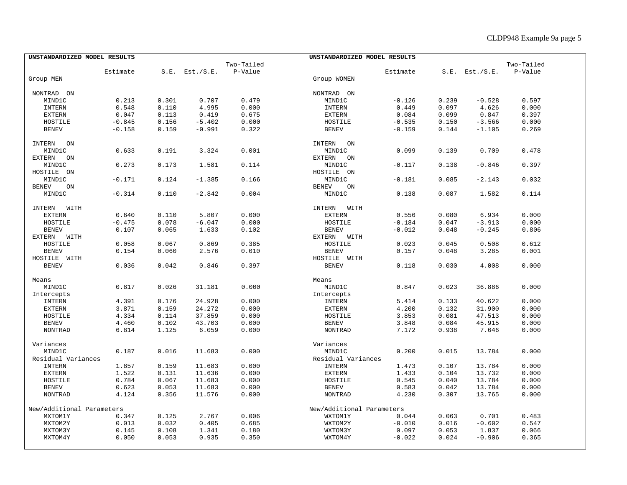| UNSTANDARDIZED MODEL RESULTS |          |       |                     |            | UNSTANDARDIZED MODEL RESULTS |          |       |                     |            |  |
|------------------------------|----------|-------|---------------------|------------|------------------------------|----------|-------|---------------------|------------|--|
|                              |          |       |                     | Two-Tailed |                              |          |       |                     | Two-Tailed |  |
|                              | Estimate |       | $S.E.$ Est./ $S.E.$ | P-Value    |                              | Estimate |       | $S.E.$ Est./ $S.E.$ | P-Value    |  |
| Group MEN                    |          |       |                     |            | Group WOMEN                  |          |       |                     |            |  |
|                              |          |       |                     |            |                              |          |       |                     |            |  |
| NONTRAD ON                   |          |       |                     |            | NONTRAD ON                   |          |       |                     |            |  |
| MIND1C                       | 0.213    | 0.301 | 0.707               | 0.479      | MIND1C                       | $-0.126$ | 0.239 | $-0.528$            | 0.597      |  |
| <b>INTERN</b>                | 0.548    | 0.110 | 4.995               | 0.000      | <b>INTERN</b>                | 0.449    | 0.097 | 4.626               | 0.000      |  |
| <b>EXTERN</b>                | 0.047    | 0.113 | 0.419               | 0.675      | <b>EXTERN</b>                | 0.084    | 0.099 | 0.847               | 0.397      |  |
| HOSTILE                      | $-0.845$ | 0.156 | $-5.402$            | 0.000      | HOSTILE                      | $-0.535$ | 0.150 | $-3.566$            | 0.000      |  |
| <b>BENEV</b>                 | $-0.158$ | 0.159 | $-0.991$            | 0.322      | <b>BENEV</b>                 | $-0.159$ | 0.144 | $-1.105$            | 0.269      |  |
| INTERN ON                    |          |       |                     |            | INTERN<br>ON                 |          |       |                     |            |  |
| MIND1C                       | 0.633    | 0.191 | 3.324               | 0.001      | MIND1C                       | 0.099    | 0.139 | 0.709               | 0.478      |  |
| EXTERN<br>ON                 |          |       |                     |            | <b>EXTERN</b><br>ON          |          |       |                     |            |  |
| MIND1C                       | 0.273    | 0.173 | 1.581               | 0.114      | MIND1C                       | $-0.117$ | 0.138 | $-0.846$            | 0.397      |  |
| HOSTILE ON                   |          |       |                     |            | HOSTILE ON                   |          |       |                     |            |  |
| MIND1C                       | $-0.171$ | 0.124 | $-1.385$            | 0.166      | MIND1C                       | $-0.181$ | 0.085 | $-2.143$            | 0.032      |  |
|                              |          |       |                     |            |                              |          |       |                     |            |  |
| <b>BENEV</b><br>ON           |          |       |                     |            | <b>BENEV</b><br>ON           |          |       |                     |            |  |
| MIND1C                       | $-0.314$ | 0.110 | $-2.842$            | 0.004      | MIND1C                       | 0.138    | 0.087 | 1.582               | 0.114      |  |
| INTERN WITH                  |          |       |                     |            | INTERN WITH                  |          |       |                     |            |  |
| <b>EXTERN</b>                | 0.640    | 0.110 | 5.807               | 0.000      | <b>EXTERN</b>                | 0.556    | 0.080 | 6.934               | 0.000      |  |
| HOSTILE                      | $-0.475$ | 0.078 | $-6.047$            | 0.000      | HOSTILE                      | $-0.184$ | 0.047 | $-3.913$            | 0.000      |  |
| <b>BENEV</b>                 | 0.107    | 0.065 | 1.633               | 0.102      | <b>BENEV</b>                 | $-0.012$ | 0.048 | $-0.245$            | 0.806      |  |
| EXTERN WITH                  |          |       |                     |            | EXTERN WITH                  |          |       |                     |            |  |
| HOSTILE                      | 0.058    | 0.067 | 0.869               | 0.385      | HOSTILE                      | 0.023    | 0.045 | 0.508               | 0.612      |  |
| <b>BENEV</b>                 | 0.154    | 0.060 | 2.576               | 0.010      | <b>BENEV</b>                 | 0.157    | 0.048 | 3.285               | 0.001      |  |
| HOSTILE WITH                 |          |       |                     |            | HOSTILE WITH                 |          |       |                     |            |  |
| <b>BENEV</b>                 | 0.036    | 0.042 | 0.846               | 0.397      | <b>BENEV</b>                 | 0.118    | 0.030 | 4.008               | 0.000      |  |
|                              |          |       |                     |            |                              |          |       |                     |            |  |
| Means                        |          |       |                     |            | Means                        |          |       |                     |            |  |
| MIND1C                       | 0.817    | 0.026 | 31.181              | 0.000      | MIND1C                       | 0.847    | 0.023 | 36.886              | 0.000      |  |
| Intercepts                   |          |       |                     |            | Intercepts                   |          |       |                     |            |  |
| INTERN                       | 4.391    | 0.176 | 24.928              | 0.000      | INTERN                       | 5.414    | 0.133 | 40.622              | 0.000      |  |
| <b>EXTERN</b>                | 3.871    | 0.159 | 24.272              | 0.000      | <b>EXTERN</b>                | 4.200    | 0.132 | 31.900              | 0.000      |  |
| HOSTILE                      | 4.334    | 0.114 | 37.859              | 0.000      | HOSTILE                      | 3.853    | 0.081 | 47.513              | 0.000      |  |
| <b>BENEV</b>                 | 4.460    | 0.102 | 43.703              | 0.000      | <b>BENEV</b>                 | 3.848    | 0.084 | 45.915              | 0.000      |  |
| <b>NONTRAD</b>               | 6.814    | 1.125 | 6.059               | 0.000      | <b>NONTRAD</b>               | 7.172    | 0.938 | 7.646               | 0.000      |  |
| Variances                    |          |       |                     |            | Variances                    |          |       |                     |            |  |
| MIND1C                       | 0.187    | 0.016 | 11.683              | 0.000      | MIND1C                       | 0.200    | 0.015 | 13.784              | 0.000      |  |
| Residual Variances           |          |       |                     |            | Residual Variances           |          |       |                     |            |  |
| <b>INTERN</b>                | 1.857    | 0.159 | 11.683              | 0.000      | <b>INTERN</b>                | 1.473    | 0.107 | 13.784              | 0.000      |  |
| <b>EXTERN</b>                | 1.522    | 0.131 | 11.636              | 0.000      | <b>EXTERN</b>                | 1.433    | 0.104 | 13.732              | 0.000      |  |
| HOSTILE                      | 0.784    | 0.067 | 11.683              | 0.000      | HOSTILE                      | 0.545    | 0.040 | 13.784              | 0.000      |  |
| <b>BENEV</b>                 | 0.623    | 0.053 | 11.683              | 0.000      | <b>BENEV</b>                 | 0.583    | 0.042 | 13.784              | 0.000      |  |
| NONTRAD                      | 4.124    | 0.356 | 11.576              | 0.000      | <b>NONTRAD</b>               | 4.230    | 0.307 | 13.765              | 0.000      |  |
|                              |          |       |                     |            |                              |          |       |                     |            |  |
| New/Additional Parameters    |          |       |                     |            | New/Additional Parameters    |          |       |                     |            |  |
| MXTOM1Y                      | 0.347    | 0.125 | 2.767               | 0.006      | WXTOM1Y                      | 0.044    | 0.063 | 0.701               | 0.483      |  |
| MXTOM2Y                      | 0.013    | 0.032 | 0.405               | 0.685      | WXTOM2Y                      | $-0.010$ | 0.016 | $-0.602$            | 0.547      |  |
| MXTOM3Y                      | 0.145    | 0.108 | 1.341               | 0.180      | WXTOM3Y                      | 0.097    | 0.053 | 1.837               | 0.066      |  |
| MXTOM4Y                      | 0.050    | 0.053 | 0.935               | 0.350      | WXTOM4Y                      | $-0.022$ | 0.024 | $-0.906$            | 0.365      |  |
|                              |          |       |                     |            |                              |          |       |                     |            |  |